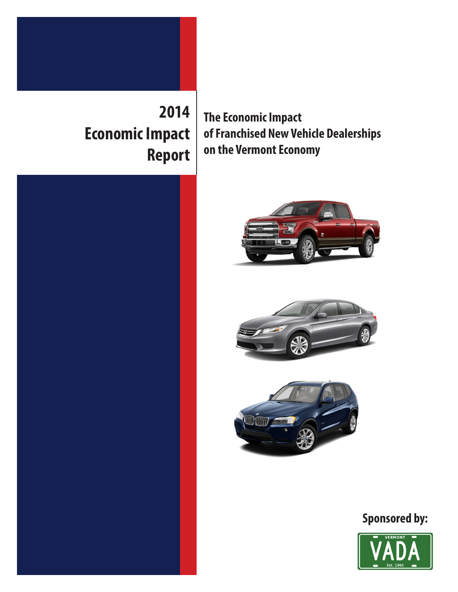

**Economic Impact Report** **The Economic Impact of Franchised New Vehicle Dealerships on the Vermont Economy**









## **Sponsored by:**

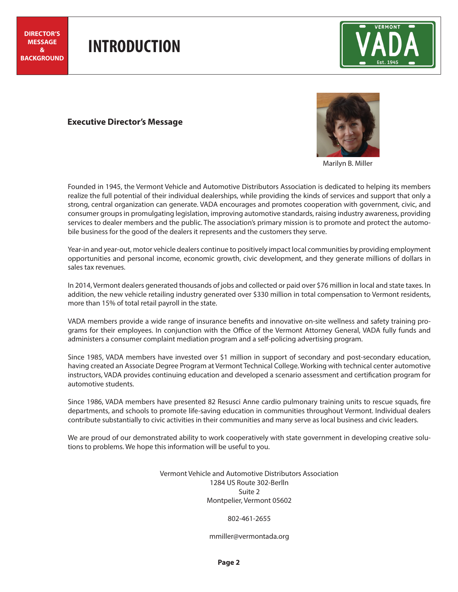## **INTRODUCTION**



## **Executive Director's Message**



Marilyn B. Miller

Founded in 1945, the Vermont Vehicle and Automotive Distributors Association is dedicated to helping its members realize the full potential of their individual dealerships, while providing the kinds of services and support that only a strong, central organization can generate. VADA encourages and promotes cooperation with government, civic, and consumer groups in promulgating legislation, improving automotive standards, raising industry awareness, providing services to dealer members and the public. The association's primary mission is to promote and protect the automobile business for the good of the dealers it represents and the customers they serve.

Year-in and year-out, motor vehicle dealers continue to positively impact local communities by providing employment opportunities and personal income, economic growth, civic development, and they generate millions of dollars in sales tax revenues.

In 2014, Vermont dealers generated thousands of jobs and collected or paid over \$76 million in local and state taxes. In addition, the new vehicle retailing industry generated over \$330 million in total compensation to Vermont residents, more than 15% of total retail payroll in the state.

VADA members provide a wide range of insurance benefits and innovative on-site wellness and safety training programs for their employees. In conjunction with the Office of the Vermont Attorney General, VADA fully funds and administers a consumer complaint mediation program and a self-policing advertising program.

Since 1985, VADA members have invested over \$1 million in support of secondary and post-secondary education, having created an Associate Degree Program at Vermont Technical College. Working with technical center automotive instructors, VADA provides continuing education and developed a scenario assessment and certification program for automotive students.

Since 1986, VADA members have presented 82 Resusci Anne cardio pulmonary training units to rescue squads, fire departments, and schools to promote life-saving education in communities throughout Vermont. Individual dealers contribute substantially to civic activities in their communities and many serve as local business and civic leaders.

We are proud of our demonstrated ability to work cooperatively with state government in developing creative solutions to problems. We hope this information will be useful to you.

> Vermont Vehicle and Automotive Distributors Association 1284 US Route 302-Berlln Suite 2 Montpelier, Vermont 05602

> > 802-461-2655

mmiller@vermontada.org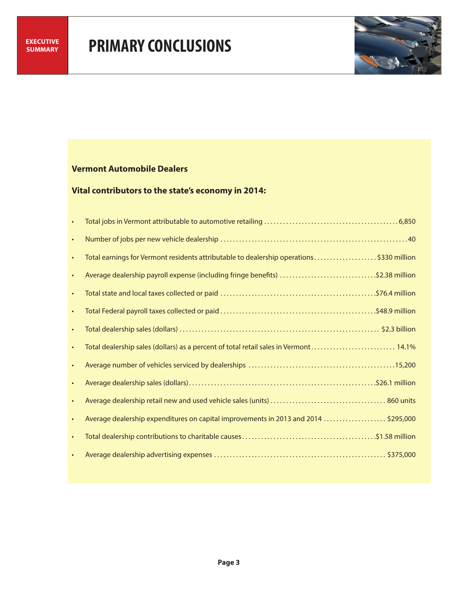

## **Vermont Automobile Dealers**

## **Vital contributors to the state's economy in 2014:**

| $\bullet$ |                                                                                         |
|-----------|-----------------------------------------------------------------------------------------|
| $\bullet$ |                                                                                         |
| $\bullet$ | Total earnings for Vermont residents attributable to dealership operations\$330 million |
| $\bullet$ | Average dealership payroll expense (including fringe benefits) \$2.38 million           |
| $\bullet$ |                                                                                         |
| $\bullet$ |                                                                                         |
| $\bullet$ |                                                                                         |
| $\bullet$ | Total dealership sales (dollars) as a percent of total retail sales in Vermont 14.1%    |
| $\bullet$ |                                                                                         |
| $\bullet$ |                                                                                         |
| $\bullet$ |                                                                                         |
| $\bullet$ | Average dealership expenditures on capital improvements in 2013 and 2014 \$295,000      |
| $\bullet$ |                                                                                         |
| $\bullet$ |                                                                                         |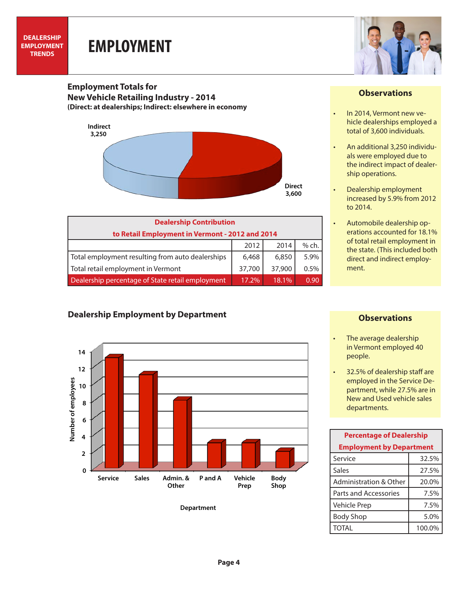# **EMPLOYMENT**



#### **Employment Totals for New Vehicle Retailing Industry - 2014 (Direct: at dealerships; Indirect: elsewhere in economy**



| <b>Dealership Contribution</b>                   |        |        |       |  |  |
|--------------------------------------------------|--------|--------|-------|--|--|
| to Retail Employment in Vermont - 2012 and 2014  |        |        |       |  |  |
|                                                  | 2012   | 2014   | % ch. |  |  |
| Total employment resulting from auto dealerships | 6,468  | 6,850  | 5.9%  |  |  |
| Total retail employment in Vermont               | 37,700 | 37,900 | 0.5%  |  |  |
| Dealership percentage of State retail employment | 17.2%  | 18.1%  | 0 ዓር  |  |  |

## **Dealership Employment by Department**



#### **Department**

#### **Observations**

- In 2014, Vermont new vehicle dealerships employed a total of 3,600 individuals.
- An additional 3,250 individuals were employed due to the indirect impact of dealership operations.
- Dealership employment increased by 5.9% from 2012 to 2014.
- Automobile dealership operations accounted for 18.1% of total retail employment in the state. (This included both direct and indirect employment.

### **Observations**

- The average dealership in Vermont employed 40 people.
- 32.5% of dealership staff are employed in the Service Department, while 27.5% are in New and Used vehicle sales departments.

| <b>Percentage of Dealership</b> |        |  |  |  |
|---------------------------------|--------|--|--|--|
| <b>Employment by Department</b> |        |  |  |  |
| Service                         | 32.5%  |  |  |  |
| Sales                           | 27.5%  |  |  |  |
| Administration & Other          | 20.0%  |  |  |  |
| Parts and Accessories           | 7.5%   |  |  |  |
| Vehicle Prep                    | 7.5%   |  |  |  |
| <b>Body Shop</b>                | 5.0%   |  |  |  |
| <b>TOTAL</b>                    | 100.0% |  |  |  |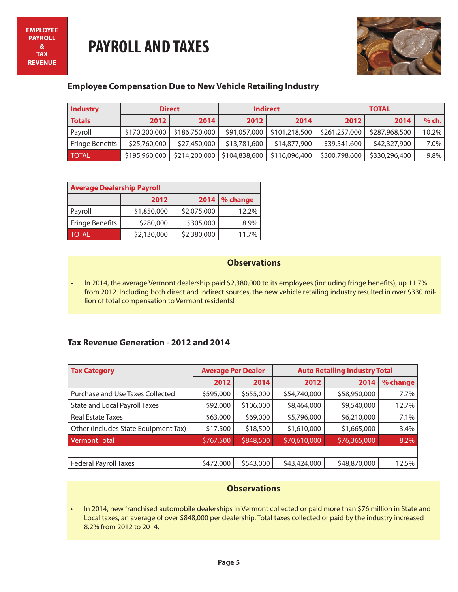

## **Employee Compensation Due to New Vehicle Retailing Industry**

| Industry        | <b>Direct</b> |               |              | <b>Indirect</b>                               | <b>TOTAL</b>  |               |         |
|-----------------|---------------|---------------|--------------|-----------------------------------------------|---------------|---------------|---------|
| <b>Totals</b>   | 2012          | 2014          | <b>2012</b>  | 2014                                          | 2012          | 2014          | $%$ ch. |
| Payroll         | \$170,200,000 | \$186,750,000 |              | \$91,057,000   \$101,218,500                  | \$261,257,000 | \$287,968,500 | 10.2%   |
| Fringe Benefits | \$25,760,000  | \$27,450,000  | \$13,781,600 | \$14,877,900                                  | \$39,541,600  | \$42,327,900  | 7.0%    |
| <b>TOTAL</b>    | \$195,960,000 |               |              | \$214,200,000   \$104,838,600   \$116,096,400 | \$300,798,600 | \$330,296,400 | 9.8%    |

| <b>Average Dealership Payroll</b> |             |             |                           |  |  |  |
|-----------------------------------|-------------|-------------|---------------------------|--|--|--|
|                                   | 2012        |             | 2014 $\frac{9}{6}$ change |  |  |  |
| Payroll                           | \$1,850,000 | \$2,075,000 | 12.2%                     |  |  |  |
| Fringe Benefits                   | \$280,000   | \$305,000   | 8.9%                      |  |  |  |
| <b>TOTAL</b>                      | \$2,130,000 | \$2,380,000 | 11.7%                     |  |  |  |

#### **Observations**

• In 2014, the average Vermont dealership paid \$2,380,000 to its employees (including fringe benefits), up 11.7% from 2012. Including both direct and indirect sources, the new vehicle retailing industry resulted in over \$330 million of total compensation to Vermont residents!

## **Tax Revenue Generation - 2012 and 2014**

| <b>Tax Category</b>                  | <b>Average Per Dealer</b> |           | <b>Auto Retailing Industry Total</b> |              |          |
|--------------------------------------|---------------------------|-----------|--------------------------------------|--------------|----------|
|                                      | 2012                      | 2014      | 2012                                 | 2014         | % change |
| Purchase and Use Taxes Collected     | \$595,000                 | \$655,000 | \$54,740,000                         | \$58,950,000 | 7.7%     |
| <b>State and Local Payroll Taxes</b> | \$92,000                  | \$106,000 | \$8,464,000                          | \$9,540,000  | 12.7%    |
| <b>Real Estate Taxes</b>             | \$63,000                  | \$69,000  | \$5,796,000                          | \$6,210,000  | 7.1%     |
| Other (includes State Equipment Tax) | \$17,500                  | \$18,500  | \$1,610,000                          | \$1,665,000  | 3.4%     |
| <b>Vermont Total</b>                 | \$767,500                 | \$848,500 | \$70,610,000                         | \$76,365,000 | 8.2%     |
|                                      |                           |           |                                      |              |          |
| Federal Payroll Taxes                | \$472,000                 | \$543,000 | \$43,424,000                         | \$48,870,000 | 12.5%    |

#### **Observations**

• In 2014, new franchised automobile dealerships in Vermont collected or paid more than \$76 million in State and Local taxes, an average of over \$848,000 per dealership. Total taxes collected or paid by the industry increased 8.2% from 2012 to 2014.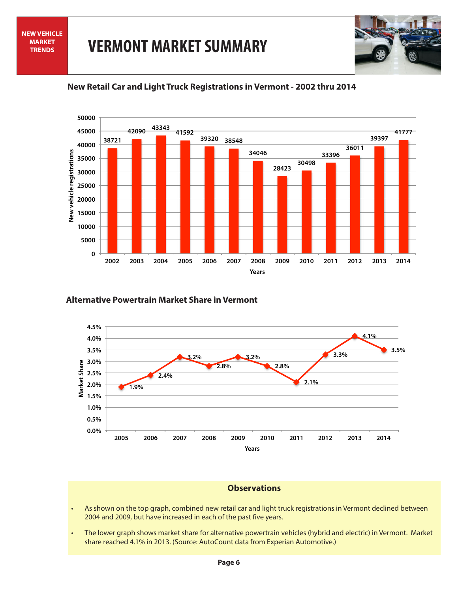



## **New Retail Car and Light Truck Registrations in Vermont - 2002 thru 2014**

#### **Alternative Powertrain Market Share in Vermont**



### **Observations**

- As shown on the top graph, combined new retail car and light truck registrations in Vermont declined between 2004 and 2009, but have increased in each of the past five years.
- The lower graph shows market share for alternative powertrain vehicles (hybrid and electric) in Vermont. Market share reached 4.1% in 2013. (Source: AutoCount data from Experian Automotive.)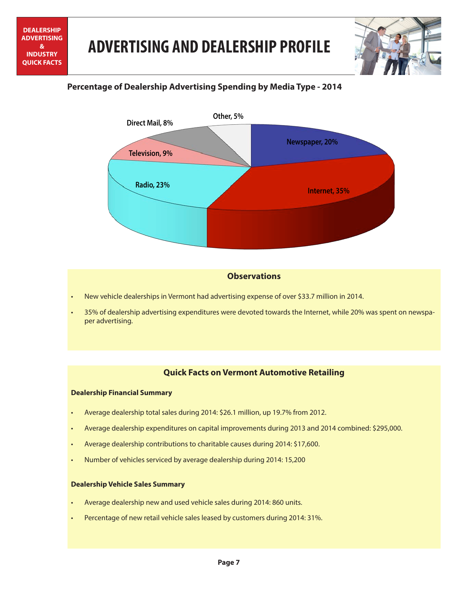



## **Percentage of Dealership Advertising Spending by Media Type - 2014**



## **Observations**

- New vehicle dealerships in Vermont had advertising expense of over \$33.7 million in 2014.
- 35% of dealership advertising expenditures were devoted towards the Internet, while 20% was spent on newspaper advertising.

## **Quick Facts on Vermont Automotive Retailing**

#### **Dealership Financial Summary**

- Average dealership total sales during 2014: \$26.1 million, up 19.7% from 2012.
- Average dealership expenditures on capital improvements during 2013 and 2014 combined: \$295,000.
- Average dealership contributions to charitable causes during 2014: \$17,600.
- Number of vehicles serviced by average dealership during 2014: 15,200

#### **Dealership Vehicle Sales Summary**

- Average dealership new and used vehicle sales during 2014: 860 units.
- Percentage of new retail vehicle sales leased by customers during 2014: 31%.